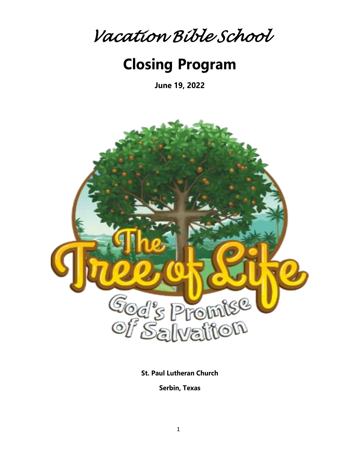

# **Closing Program**

**June 19, 2022**



**St. Paul Lutheran Church**

**Serbin, Texas**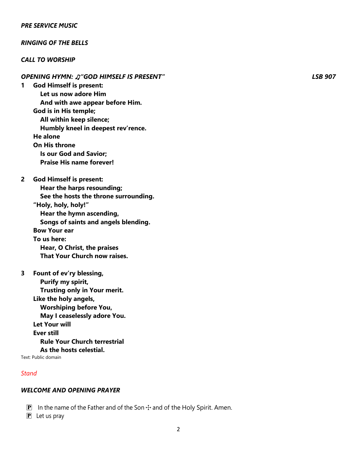#### *PRE SERVICE MUSIC*

#### *RINGING OF THE BELLS*

#### *CALL TO WORSHIP*

- *OPENING HYMN:* ♫*"GOD HIMSELF IS PRESENT" LSB 907* **1 God Himself is present: Let us now adore Him And with awe appear before Him. God is in His temple; All within keep silence; Humbly kneel in deepest rev'rence. He alone On His throne Is our God and Savior; Praise His name forever! 2 God Himself is present: Hear the harps resounding; See the hosts the throne surrounding. "Holy, holy, holy!" Hear the hymn ascending, Songs of saints and angels blending. Bow Your ear To us here: Hear, O Christ, the praises That Your Church now raises. 3 Fount of ev'ry blessing,**
- **Purify my spirit, Trusting only in Your merit. Like the holy angels, Worshiping before You, May I ceaselessly adore You. Let Your will Ever still Rule Your Church terrestrial As the hosts celestial.**

Text: Public domain

#### *Stand*

#### *WELCOME AND OPENING PRAYER*

- **P** In the name of the Father and of the Son  $\pm$  and of the Holy Spirit. Amen.
- PLet us pray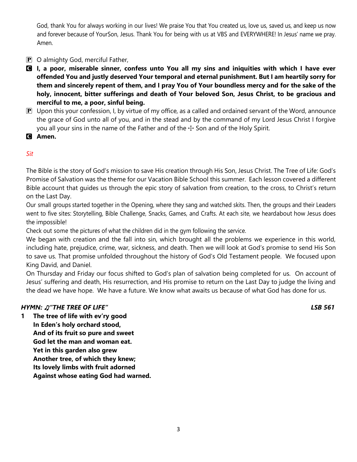God, thank You for always working in our lives! We praise You that You created us, love us, saved us, and keep us now and forever because of YourSon, Jesus. Thank You for being with us at VBS and EVERYWHERE! In Jesus' name we pray. Amen.

- $\boxed{\mathbf{P}}$  O almighty God, merciful Father,
- C **I, a poor, miserable sinner, confess unto You all my sins and iniquities with which I have ever offended You and justly deserved Your temporal and eternal punishment. But I am heartily sorry for them and sincerely repent of them, and I pray You of Your boundless mercy and for the sake of the holy, innocent, bitter sufferings and death of Your beloved Son, Jesus Christ, to be gracious and merciful to me, a poor, sinful being.**
- $\mathbf{P}$  Upon this your confession, I, by virtue of my office, as a called and ordained servant of the Word, announce the grace of God unto all of you, and in the stead and by the command of my Lord Jesus Christ I forgive you all your sins in the name of the Father and of the  $\pm$  Son and of the Holy Spirit.
- C **Amen.**

# *Sit*

The Bible is the story of God's mission to save His creation through His Son, Jesus Christ. The Tree of Life: God's Promise of Salvation was the theme for our Vacation Bible School this summer. Each lesson covered a different Bible account that guides us through the epic story of salvation from creation, to the cross, to Christ's return on the Last Day.

Our small groups started together in the Opening, where they sang and watched skits. Then, the groups and their Leaders went to five sites: Storytelling, Bible Challenge, Snacks, Games, and Crafts. At each site, we heardabout how Jesus does the impossible!

Check out some the pictures of what the children did in the gym following the service.

We began with creation and the fall into sin, which brought all the problems we experience in this world, including hate, prejudice, crime, war, sickness, and death. Then we will look at God's promise to send His Son to save us. That promise unfolded throughout the history of God's Old Testament people. We focused upon King David, and Daniel.

On Thursday and Friday our focus shifted to God's plan of salvation being completed for us. On account of Jesus' suffering and death, His resurrection, and His promise to return on the Last Day to judge the living and the dead we have hope. We have a future. We know what awaits us because of what God has done for us.

#### *HYMN:* ♫*"THE TREE OF LIFE" LSB 561*

**1 The tree of life with ev'ry good In Eden's holy orchard stood, And of its fruit so pure and sweet God let the man and woman eat. Yet in this garden also grew Another tree, of which they knew; Its lovely limbs with fruit adorned Against whose eating God had warned.**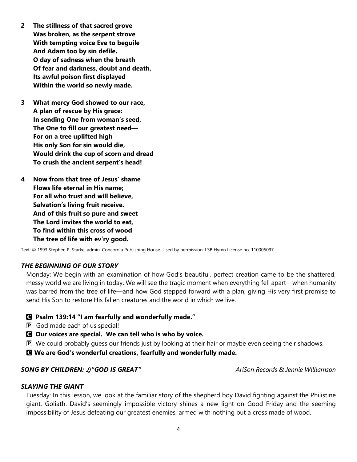- **2 The stillness of that sacred grove Was broken, as the serpent strove With tempting voice Eve to beguile And Adam too by sin defile. O day of sadness when the breath Of fear and darkness, doubt and death, Its awful poison first displayed Within the world so newly made.**
- **3 What mercy God showed to our race, A plan of rescue by His grace: In sending One from woman's seed, The One to fill our greatest need— For on a tree uplifted high His only Son for sin would die, Would drink the cup of scorn and dread To crush the ancient serpent's head!**
- **4 Now from that tree of Jesus' shame Flows life eternal in His name; For all who trust and will believe, Salvation's living fruit receive. And of this fruit so pure and sweet The Lord invites the world to eat, To find within this cross of wood The tree of life with ev'ry good.**

Text: © 1993 Stephen P. Starke, admin. Concordia Publishing House. Used by permission: LSB Hymn License no. 110005097

#### *THE BEGINNING OF OUR STORY*

Monday: We begin with an examination of how God's beautiful, perfect creation came to be the shattered, messy world we are living in today. We will see the tragic moment when everything fell apart—when humanity was barred from the tree of life—and how God stepped forward with a plan, giving His very first promise to send His Son to restore His fallen creatures and the world in which we live.

#### C **Psalm 139:14 "I am fearfully and wonderfully made."**

- P God made each of us special!
- C **Our voices are special. We can tell who is who by voice.**
- $\mathbf P$  We could probably guess our friends just by looking at their hair or maybe even seeing their shadows.
- C **We are God's wonderful creations, fearfully and wonderfully made.**

#### *SONG BY CHILDREN:* ♫*"GOD IS GREAT" AriSon Records & Jennie Williamson*

#### *SLAYING THE GIANT*

Tuesday: In this lesson, we look at the familiar story of the shepherd boy David fighting against the Philistine giant, Goliath. David's seemingly impossible victory shines a new light on Good Friday and the seeming impossibility of Jesus defeating our greatest enemies, armed with nothing but a cross made of wood.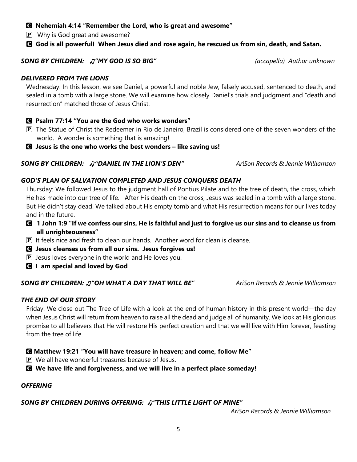#### C **Nehemiah 4:14 "Remember the Lord, who is great and awesome"**

**P** Why is God great and awesome?

### C **God is all powerful! When Jesus died and rose again, he rescued us from sin, death, and Satan.**

#### *SONG BY CHILDREN:* ♫*"MY GOD IS SO BIG" (accapella) Author unknown*

#### *DELIVERED FROM THE LIONS*

Wednesday: In this lesson, we see Daniel, a powerful and noble Jew, falsely accused, sentenced to death, and sealed in a tomb with a large stone. We will examine how closely Daniel's trials and judgment and "death and resurrection" matched those of Jesus Christ.

### C **Psalm 77:14 "You are the God who works wonders"**

- P The Statue of Christ the Redeemer in Rio de Janeiro, Brazil is considered one of the seven wonders of the world. A wonder is something that is amazing!
- C **Jesus is the one who works the best wonders – like saving us!**

### *SONG BY CHILDREN:* ♫*"DANIEL IN THE LION'S DEN" AriSon Records & Jennie Williamson*

#### *GOD'S PLAN OF SALVATION COMPLETED AND JESUS CONQUERS DEATH*

Thursday: We followed Jesus to the judgment hall of Pontius Pilate and to the tree of death, the cross, which He has made into our tree of life. After His death on the cross, Jesus was sealed in a tomb with a large stone. But He didn't stay dead. We talked about His empty tomb and what His resurrection means for our lives today and in the future.

- C **1 John 1:9 "If we confess our sins, He is faithful and just to forgive us our sins and to cleanse us from all unrighteousness"**
- $\mathbf P$  It feels nice and fresh to clean our hands. Another word for clean is cleanse.
- C **Jesus cleanses us from all our sins. Jesus forgives us!**
- $\mathbf P$  Jesus loves everyone in the world and He loves you.
- C **I am special and loved by God**

#### *SONG BY CHILDREN:* ♫*"OH WHAT A DAY THAT WILL BE" AriSon Records & Jennie Williamson*

#### *THE END OF OUR STORY*

Friday: We close out The Tree of Life with a look at the end of human history in this present world—the day when Jesus Christ will return from heaven to raise all the dead and judge all of humanity. We look at His glorious promise to all believers that He will restore His perfect creation and that we will live with Him forever, feasting from the tree of life.

#### C **Matthew 19:21 "You will have treasure in heaven; and come, follow Me"**

P We all have wonderful treasures because of Jesus.

C **We have life and forgiveness, and we will live in a perfect place someday!**

#### *OFFERING*

#### *SONG BY CHILDREN DURING OFFERING:* ♫*"THIS LITTLE LIGHT OF MINE"*

 *AriSon Records & Jennie Williamson*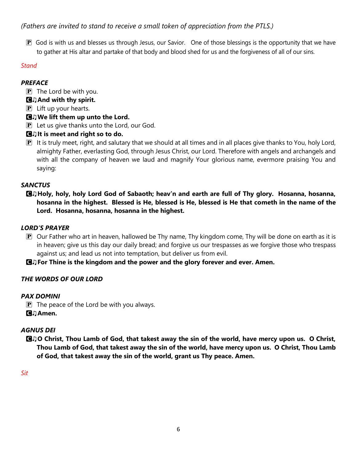# *(Fathers are invited to stand to receive a small token of appreciation from the PTLS.)*

 $\bf{P}$  God is with us and blesses us through Jesus, our Savior. One of those blessings is the opportunity that we have to gather at His altar and partake of that body and blood shed for us and the forgiveness of all of our sins.

## *Stand*

### *PREFACE*

- $\mathbf{P}$  The Lord be with you.
- C♫**And with thy spirit.**
- $\mathbf{P}$  Lift up your hearts.

# C♫**We lift them up unto the Lord.**

 $\mathbf{P}$  Let us give thanks unto the Lord, our God.

# C♫**It is meet and right so to do.**

 $\bf{P}$  It is truly meet, right, and salutary that we should at all times and in all places give thanks to You, holy Lord, almighty Father, everlasting God, through Jesus Christ, our Lord. Therefore with angels and archangels and with all the company of heaven we laud and magnify Your glorious name, evermore praising You and saying:

## *SANCTUS*

C♫**Holy, holy, holy Lord God of Sabaoth; heav'n and earth are full of Thy glory. Hosanna, hosanna, hosanna in the highest. Blessed is He, blessed is He, blessed is He that cometh in the name of the Lord. Hosanna, hosanna, hosanna in the highest.**

## *LORD'S PRAYER*

 $\mathbf P$  Our Father who art in heaven, hallowed be Thy name, Thy kingdom come, Thy will be done on earth as it is in heaven; give us this day our daily bread; and forgive us our trespasses as we forgive those who trespass against us; and lead us not into temptation, but deliver us from evil.

C♫**For Thine is the kingdom and the power and the glory forever and ever. Amen.**

# *THE WORDS OF OUR LORD*

#### *PAX DOMINI*

 $\mathbf{P}$  The peace of the Lord be with you always.

C♫**Amen.**

# *AGNUS DEI*

C♫**O Christ, Thou Lamb of God, that takest away the sin of the world, have mercy upon us. O Christ, Thou Lamb of God, that takest away the sin of the world, have mercy upon us. O Christ, Thou Lamb of God, that takest away the sin of the world, grant us Thy peace. Amen.**

*Sit*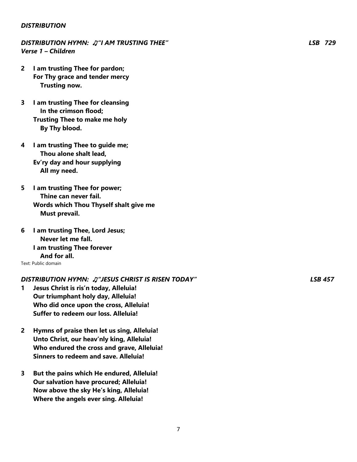#### *DISTRIBUTION*

## *DISTRIBUTION HYMN:* ♫*"I AM TRUSTING THEE" LSB 729 Verse 1 – Children*

- **2 I am trusting Thee for pardon; For Thy grace and tender mercy Trusting now.**
- **3 I am trusting Thee for cleansing In the crimson flood; Trusting Thee to make me holy By Thy blood.**
- **4 I am trusting Thee to guide me; Thou alone shalt lead, Ev'ry day and hour supplying All my need.**
- **5 I am trusting Thee for power; Thine can never fail. Words which Thou Thyself shalt give me Must prevail.**
- **6 I am trusting Thee, Lord Jesus; Never let me fall. I am trusting Thee forever And for all.** Text: Public domain

# *DISTRIBUTION HYMN:* ♫*"JESUS CHRIST IS RISEN TODAY" LSB 457*

- **1 Jesus Christ is ris'n today, Alleluia! Our triumphant holy day, Alleluia! Who did once upon the cross, Alleluia! Suffer to redeem our loss. Alleluia!**
- **2 Hymns of praise then let us sing, Alleluia! Unto Christ, our heav'nly king, Alleluia! Who endured the cross and grave, Alleluia! Sinners to redeem and save. Alleluia!**
- **3 But the pains which He endured, Alleluia! Our salvation have procured; Alleluia! Now above the sky He's king, Alleluia! Where the angels ever sing. Alleluia!**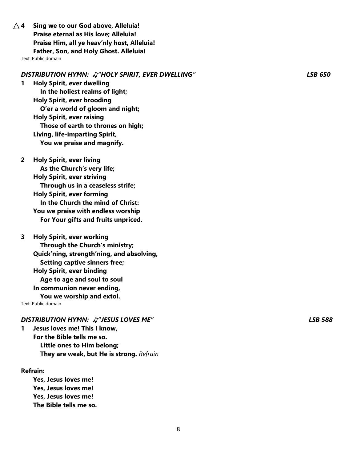$\Delta$  4 Sing we to our God above, Alleluia! **Praise eternal as His love; Alleluia! Praise Him, all ye heav'nly host, Alleluia! Father, Son, and Holy Ghost. Alleluia!**

Text: Public domain

#### *DISTRIBUTION HYMN:* ♫*"HOLY SPIRIT, EVER DWELLING" LSB 650*

**1 Holy Spirit, ever dwelling In the holiest realms of light; Holy Spirit, ever brooding O'er a world of gloom and night; Holy Spirit, ever raising Those of earth to thrones on high; Living, life-imparting Spirit, You we praise and magnify.**

**2 Holy Spirit, ever living As the Church's very life; Holy Spirit, ever striving Through us in a ceaseless strife; Holy Spirit, ever forming In the Church the mind of Christ: You we praise with endless worship For Your gifts and fruits unpriced.**

**3 Holy Spirit, ever working Through the Church's ministry; Quick'ning, strength'ning, and absolving, Setting captive sinners free; Holy Spirit, ever binding Age to age and soul to soul In communion never ending, You we worship and extol.** Text: Public domain

#### *DISTRIBUTION HYMN:* ♫*"JESUS LOVES ME" LSB 588*

**1 Jesus loves me! This I know, For the Bible tells me so. Little ones to Him belong; They are weak, but He is strong.** *Refrain*

#### **Refrain:**

**Yes, Jesus loves me! Yes, Jesus loves me! Yes, Jesus loves me! The Bible tells me so.**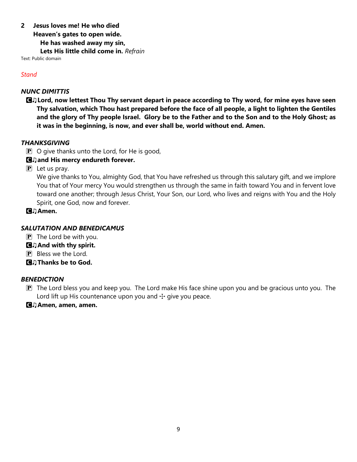## **2 Jesus loves me! He who died**

**Heaven's gates to open wide.**

 **He has washed away my sin,**

 **Lets His little child come in.** *Refrain*

Text: Public domain

#### *Stand*

### *NUNC DIMITTIS*

C♫**Lord, now lettest Thou Thy servant depart in peace according to Thy word, for mine eyes have seen Thy salvation, which Thou hast prepared before the face of all people, a light to lighten the Gentiles and the glory of Thy people Israel. Glory be to the Father and to the Son and to the Holy Ghost; as it was in the beginning, is now, and ever shall be, world without end. Amen.**

## *THANKSGIVING*

 $\mathbf{P}$  O give thanks unto the Lord, for He is good,

# C♫**and His mercy endureth forever.**

 $\mathbf{P}$  Let us pray.

We give thanks to You, almighty God, that You have refreshed us through this salutary gift, and we implore You that of Your mercy You would strengthen us through the same in faith toward You and in fervent love toward one another; through Jesus Christ, Your Son, our Lord, who lives and reigns with You and the Holy Spirit, one God, now and forever.

C♫**Amen.**

# *SALUTATION AND BENEDICAMUS*

- $\mathbf{P}$  The Lord be with you.
- C♫**And with thy spirit.**
- P Bless we the Lord.
- C♫**Thanks be to God.**

# *BENEDICTION*

- $\mathbf{P}$  The Lord bless you and keep you. The Lord make His face shine upon you and be gracious unto you. The Lord lift up His countenance upon you and  $\pm$  give you peace.
- C♫**Amen, amen, amen.**